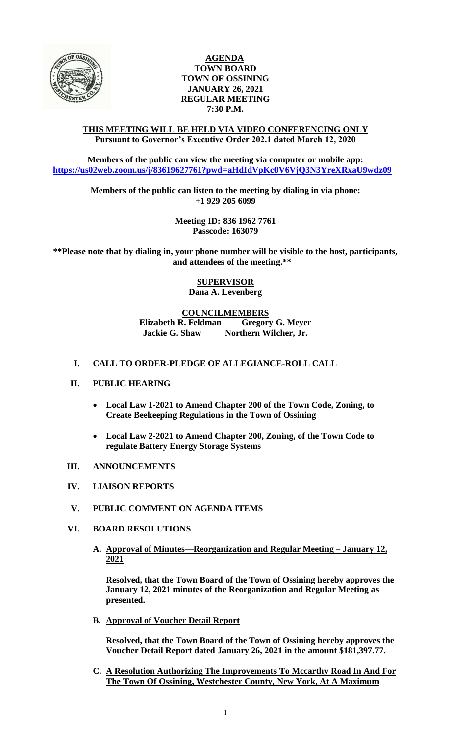

# **AGENDA TOWN BOARD TOWN OF OSSINING JANUARY 26, 2021 REGULAR MEETING 7:30 P.M.**

### **THIS MEETING WILL BE HELD VIA VIDEO CONFERENCING ONLY Pursuant to Governor's Executive Order 202.1 dated March 12, 2020**

**Members of the public can view the meeting via computer or mobile app: <https://us02web.zoom.us/j/83619627761?pwd=aHdIdVpKc0V6VjQ3N3YreXRxaU9wdz09>**

> **Members of the public can listen to the meeting by dialing in via phone: +1 929 205 6099**

> > **Meeting ID: 836 1962 7761 Passcode: 163079**

**\*\*Please note that by dialing in, your phone number will be visible to the host, participants, and attendees of the meeting.\*\*** 

> **SUPERVISOR Dana A. Levenberg**

**COUNCILMEMBERS Elizabeth R. Feldman Gregory G. Meyer Jackie G. Shaw Northern Wilcher, Jr.**

# **I. CALL TO ORDER-PLEDGE OF ALLEGIANCE-ROLL CALL**

# **II. PUBLIC HEARING**

- **Local Law 1-2021 to Amend Chapter 200 of the Town Code, Zoning, to Create Beekeeping Regulations in the Town of Ossining**
- **Local Law 2-2021 to Amend Chapter 200, Zoning, of the Town Code to regulate Battery Energy Storage Systems**
- **III. ANNOUNCEMENTS**
- **IV. LIAISON REPORTS**
- **V. PUBLIC COMMENT ON AGENDA ITEMS**

# **VI. BOARD RESOLUTIONS**

**A. Approval of Minutes—Reorganization and Regular Meeting – January 12, 2021**

**Resolved, that the Town Board of the Town of Ossining hereby approves the January 12, 2021 minutes of the Reorganization and Regular Meeting as presented.**

**B. Approval of Voucher Detail Report**

**Resolved, that the Town Board of the Town of Ossining hereby approves the Voucher Detail Report dated January 26, 2021 in the amount \$181,397.77.** 

**C. A Resolution Authorizing The Improvements To Mccarthy Road In And For The Town Of Ossining, Westchester County, New York, At A Maximum**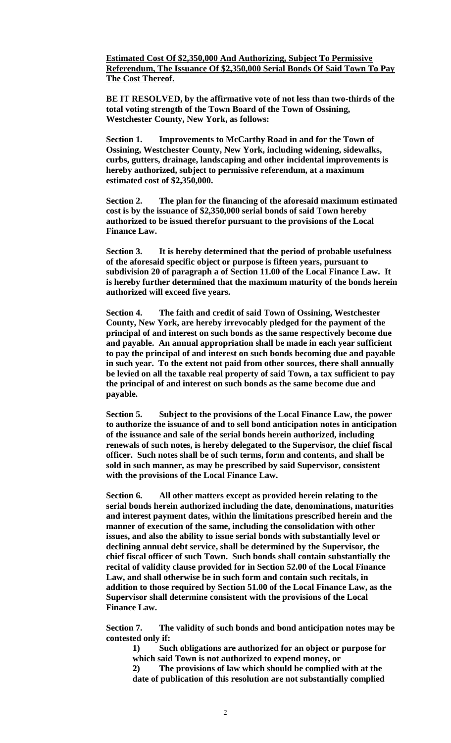### **Estimated Cost Of \$2,350,000 And Authorizing, Subject To Permissive Referendum, The Issuance Of \$2,350,000 Serial Bonds Of Said Town To Pay The Cost Thereof.**

**BE IT RESOLVED, by the affirmative vote of not less than two-thirds of the total voting strength of the Town Board of the Town of Ossining, Westchester County, New York, as follows:**

**Section 1. Improvements to McCarthy Road in and for the Town of Ossining, Westchester County, New York, including widening, sidewalks, curbs, gutters, drainage, landscaping and other incidental improvements is hereby authorized, subject to permissive referendum, at a maximum estimated cost of \$2,350,000.**

**Section 2. The plan for the financing of the aforesaid maximum estimated cost is by the issuance of \$2,350,000 serial bonds of said Town hereby authorized to be issued therefor pursuant to the provisions of the Local Finance Law.**

**Section 3. It is hereby determined that the period of probable usefulness of the aforesaid specific object or purpose is fifteen years, pursuant to subdivision 20 of paragraph a of Section 11.00 of the Local Finance Law. It is hereby further determined that the maximum maturity of the bonds herein authorized will exceed five years.**

**Section 4. The faith and credit of said Town of Ossining, Westchester County, New York, are hereby irrevocably pledged for the payment of the principal of and interest on such bonds as the same respectively become due and payable. An annual appropriation shall be made in each year sufficient to pay the principal of and interest on such bonds becoming due and payable in such year. To the extent not paid from other sources, there shall annually be levied on all the taxable real property of said Town, a tax sufficient to pay the principal of and interest on such bonds as the same become due and payable.**

**Section 5. Subject to the provisions of the Local Finance Law, the power to authorize the issuance of and to sell bond anticipation notes in anticipation of the issuance and sale of the serial bonds herein authorized, including renewals of such notes, is hereby delegated to the Supervisor, the chief fiscal officer. Such notes shall be of such terms, form and contents, and shall be sold in such manner, as may be prescribed by said Supervisor, consistent with the provisions of the Local Finance Law.**

**Section 6. All other matters except as provided herein relating to the serial bonds herein authorized including the date, denominations, maturities and interest payment dates, within the limitations prescribed herein and the manner of execution of the same, including the consolidation with other issues, and also the ability to issue serial bonds with substantially level or declining annual debt service, shall be determined by the Supervisor, the chief fiscal officer of such Town. Such bonds shall contain substantially the recital of validity clause provided for in Section 52.00 of the Local Finance Law, and shall otherwise be in such form and contain such recitals, in addition to those required by Section 51.00 of the Local Finance Law, as the Supervisor shall determine consistent with the provisions of the Local Finance Law.**

**Section 7. The validity of such bonds and bond anticipation notes may be contested only if:**

**1) Such obligations are authorized for an object or purpose for which said Town is not authorized to expend money, or**

**2) The provisions of law which should be complied with at the date of publication of this resolution are not substantially complied**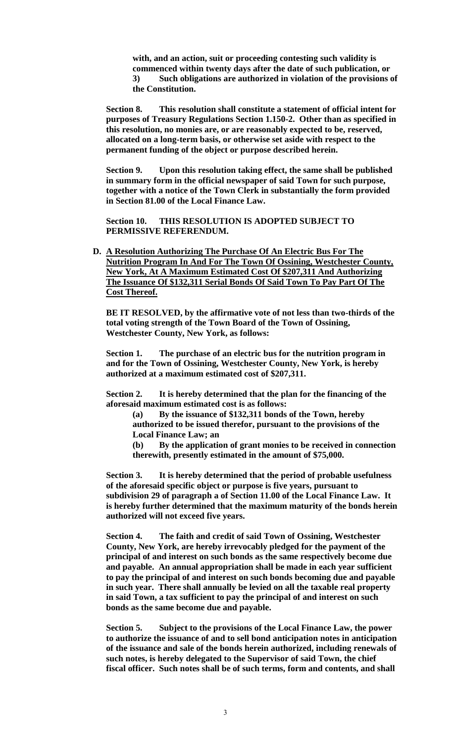**with, and an action, suit or proceeding contesting such validity is commenced within twenty days after the date of such publication, or 3) Such obligations are authorized in violation of the provisions of the Constitution.**

**Section 8. This resolution shall constitute a statement of official intent for purposes of Treasury Regulations Section 1.150-2. Other than as specified in this resolution, no monies are, or are reasonably expected to be, reserved, allocated on a long-term basis, or otherwise set aside with respect to the permanent funding of the object or purpose described herein.**

**Section 9. Upon this resolution taking effect, the same shall be published in summary form in the official newspaper of said Town for such purpose, together with a notice of the Town Clerk in substantially the form provided in Section 81.00 of the Local Finance Law.**

**Section 10. THIS RESOLUTION IS ADOPTED SUBJECT TO PERMISSIVE REFERENDUM.**

**D. A Resolution Authorizing The Purchase Of An Electric Bus For The Nutrition Program In And For The Town Of Ossining, Westchester County, New York, At A Maximum Estimated Cost Of \$207,311 And Authorizing The Issuance Of \$132,311 Serial Bonds Of Said Town To Pay Part Of The Cost Thereof.**

**BE IT RESOLVED, by the affirmative vote of not less than two-thirds of the total voting strength of the Town Board of the Town of Ossining, Westchester County, New York, as follows:** 

**Section 1. The purchase of an electric bus for the nutrition program in and for the Town of Ossining, Westchester County, New York, is hereby authorized at a maximum estimated cost of \$207,311.** 

**Section 2. It is hereby determined that the plan for the financing of the aforesaid maximum estimated cost is as follows:**

**(a) By the issuance of \$132,311 bonds of the Town, hereby authorized to be issued therefor, pursuant to the provisions of the Local Finance Law; an**

**(b) By the application of grant monies to be received in connection therewith, presently estimated in the amount of \$75,000.**

**Section 3. It is hereby determined that the period of probable usefulness of the aforesaid specific object or purpose is five years, pursuant to subdivision 29 of paragraph a of Section 11.00 of the Local Finance Law. It is hereby further determined that the maximum maturity of the bonds herein authorized will not exceed five years.**

**Section 4. The faith and credit of said Town of Ossining, Westchester County, New York, are hereby irrevocably pledged for the payment of the principal of and interest on such bonds as the same respectively become due and payable. An annual appropriation shall be made in each year sufficient to pay the principal of and interest on such bonds becoming due and payable in such year. There shall annually be levied on all the taxable real property in said Town, a tax sufficient to pay the principal of and interest on such bonds as the same become due and payable.**

**Section 5. Subject to the provisions of the Local Finance Law, the power to authorize the issuance of and to sell bond anticipation notes in anticipation of the issuance and sale of the bonds herein authorized, including renewals of such notes, is hereby delegated to the Supervisor of said Town, the chief fiscal officer. Such notes shall be of such terms, form and contents, and shall**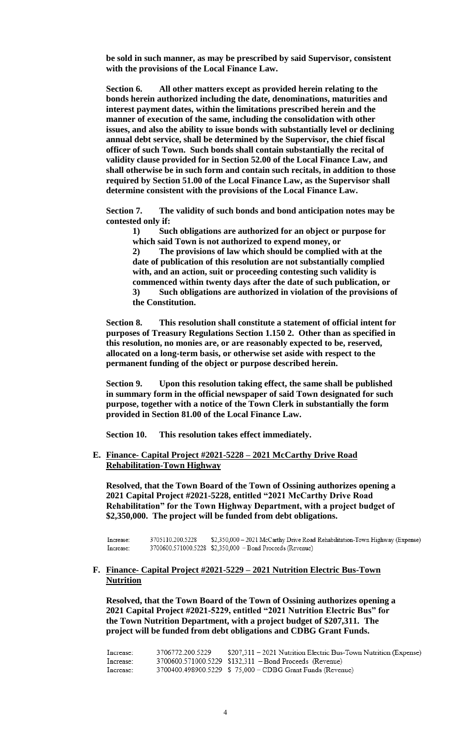**be sold in such manner, as may be prescribed by said Supervisor, consistent with the provisions of the Local Finance Law.**

**Section 6. All other matters except as provided herein relating to the bonds herein authorized including the date, denominations, maturities and interest payment dates, within the limitations prescribed herein and the manner of execution of the same, including the consolidation with other issues, and also the ability to issue bonds with substantially level or declining annual debt service, shall be determined by the Supervisor, the chief fiscal officer of such Town. Such bonds shall contain substantially the recital of validity clause provided for in Section 52.00 of the Local Finance Law, and shall otherwise be in such form and contain such recitals, in addition to those required by Section 51.00 of the Local Finance Law, as the Supervisor shall determine consistent with the provisions of the Local Finance Law.**

**Section 7. The validity of such bonds and bond anticipation notes may be contested only if:**

**1) Such obligations are authorized for an object or purpose for which said Town is not authorized to expend money, or**

**2) The provisions of law which should be complied with at the date of publication of this resolution are not substantially complied with, and an action, suit or proceeding contesting such validity is commenced within twenty days after the date of such publication, or 3) Such obligations are authorized in violation of the provisions of the Constitution.**

**Section 8. This resolution shall constitute a statement of official intent for purposes of Treasury Regulations Section 1.150 2. Other than as specified in this resolution, no monies are, or are reasonably expected to be, reserved, allocated on a long-term basis, or otherwise set aside with respect to the permanent funding of the object or purpose described herein.**

**Section 9. Upon this resolution taking effect, the same shall be published in summary form in the official newspaper of said Town designated for such purpose, together with a notice of the Town Clerk in substantially the form provided in Section 81.00 of the Local Finance Law.**

**Section 10. This resolution takes effect immediately.**

**E. Finance- Capital Project #2021-5228 – 2021 McCarthy Drive Road Rehabilitation-Town Highway**

**Resolved, that the Town Board of the Town of Ossining authorizes opening a 2021 Capital Project #2021-5228, entitled "2021 McCarthy Drive Road Rehabilitation" for the Town Highway Department, with a project budget of \$2,350,000. The project will be funded from debt obligations.** 

Increase: 3705110.200.5228 \$2,350,000 - 2021 McCarthy Drive Road Rehabilitation-Town Highway (Expense) 3700600.571000.5228 \$2,350,000 - Bond Proceeds (Revenue) Increase:

### **F. Finance- Capital Project #2021-5229 – 2021 Nutrition Electric Bus-Town Nutrition**

**Resolved, that the Town Board of the Town of Ossining authorizes opening a 2021 Capital Project #2021-5229, entitled "2021 Nutrition Electric Bus" for the Town Nutrition Department, with a project budget of \$207,311. The project will be funded from debt obligations and CDBG Grant Funds.** 

| Increase: | 3706772.200.5229 | \$207,311 – 2021 Nutrition Electric Bus-Town Nutrition (Expense) |
|-----------|------------------|------------------------------------------------------------------|
| Increase: |                  | 3700600.571000.5229 \$132,311 - Bond Proceeds (Revenue)          |
| Increase: |                  | 3700400.498900.5229 \$ 75,000 - CDBG Grant Funds (Revenue)       |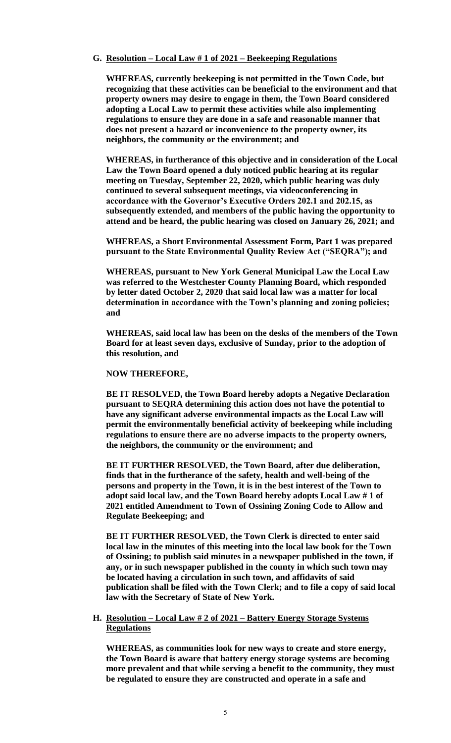#### **G. Resolution – Local Law # 1 of 2021 – Beekeeping Regulations**

**WHEREAS, currently beekeeping is not permitted in the Town Code, but recognizing that these activities can be beneficial to the environment and that property owners may desire to engage in them, the Town Board considered adopting a Local Law to permit these activities while also implementing regulations to ensure they are done in a safe and reasonable manner that does not present a hazard or inconvenience to the property owner, its neighbors, the community or the environment; and**

**WHEREAS, in furtherance of this objective and in consideration of the Local Law the Town Board opened a duly noticed public hearing at its regular meeting on Tuesday, September 22, 2020, which public hearing was duly continued to several subsequent meetings, via videoconferencing in accordance with the Governor's Executive Orders 202.1 and 202.15, as subsequently extended, and members of the public having the opportunity to attend and be heard, the public hearing was closed on January 26, 2021; and**

**WHEREAS, a Short Environmental Assessment Form, Part 1 was prepared pursuant to the State Environmental Quality Review Act ("SEQRA"); and**

**WHEREAS, pursuant to New York General Municipal Law the Local Law was referred to the Westchester County Planning Board, which responded by letter dated October 2, 2020 that said local law was a matter for local determination in accordance with the Town's planning and zoning policies; and** 

**WHEREAS, said local law has been on the desks of the members of the Town Board for at least seven days, exclusive of Sunday, prior to the adoption of this resolution, and**

#### **NOW THEREFORE,**

**BE IT RESOLVED, the Town Board hereby adopts a Negative Declaration pursuant to SEQRA determining this action does not have the potential to have any significant adverse environmental impacts as the Local Law will permit the environmentally beneficial activity of beekeeping while including regulations to ensure there are no adverse impacts to the property owners, the neighbors, the community or the environment; and**

**BE IT FURTHER RESOLVED, the Town Board, after due deliberation, finds that in the furtherance of the safety, health and well-being of the persons and property in the Town, it is in the best interest of the Town to adopt said local law, and the Town Board hereby adopts Local Law # 1 of 2021 entitled Amendment to Town of Ossining Zoning Code to Allow and Regulate Beekeeping; and** 

**BE IT FURTHER RESOLVED, the Town Clerk is directed to enter said local law in the minutes of this meeting into the local law book for the Town of Ossining; to publish said minutes in a newspaper published in the town, if any, or in such newspaper published in the county in which such town may be located having a circulation in such town, and affidavits of said publication shall be filed with the Town Clerk; and to file a copy of said local law with the Secretary of State of New York.**

#### **H. Resolution – Local Law # 2 of 2021 – Battery Energy Storage Systems Regulations**

**WHEREAS, as communities look for new ways to create and store energy, the Town Board is aware that battery energy storage systems are becoming more prevalent and that while serving a benefit to the community, they must be regulated to ensure they are constructed and operate in a safe and**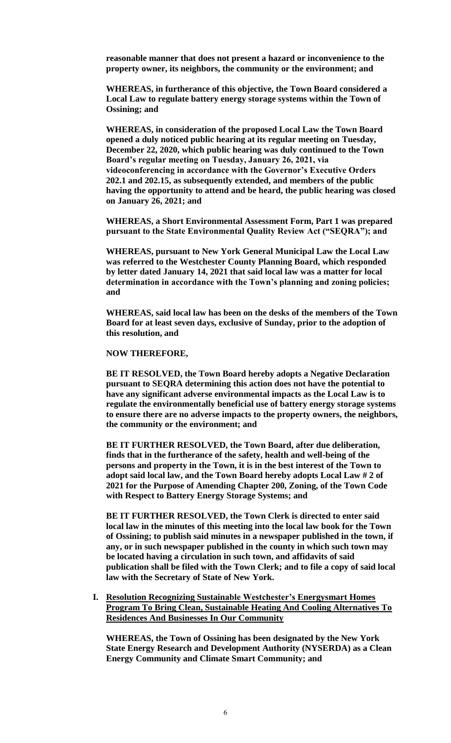**reasonable manner that does not present a hazard or inconvenience to the property owner, its neighbors, the community or the environment; and**

**WHEREAS, in furtherance of this objective, the Town Board considered a Local Law to regulate battery energy storage systems within the Town of Ossining; and**

**WHEREAS, in consideration of the proposed Local Law the Town Board opened a duly noticed public hearing at its regular meeting on Tuesday, December 22, 2020, which public hearing was duly continued to the Town Board's regular meeting on Tuesday, January 26, 2021, via videoconferencing in accordance with the Governor's Executive Orders 202.1 and 202.15, as subsequently extended, and members of the public having the opportunity to attend and be heard, the public hearing was closed on January 26, 2021; and**

**WHEREAS, a Short Environmental Assessment Form, Part 1 was prepared pursuant to the State Environmental Quality Review Act ("SEQRA"); and**

**WHEREAS, pursuant to New York General Municipal Law the Local Law was referred to the Westchester County Planning Board, which responded by letter dated January 14, 2021 that said local law was a matter for local determination in accordance with the Town's planning and zoning policies; and** 

**WHEREAS, said local law has been on the desks of the members of the Town Board for at least seven days, exclusive of Sunday, prior to the adoption of this resolution, and**

**NOW THEREFORE,**

**BE IT RESOLVED, the Town Board hereby adopts a Negative Declaration pursuant to SEQRA determining this action does not have the potential to have any significant adverse environmental impacts as the Local Law is to regulate the environmentally beneficial use of battery energy storage systems to ensure there are no adverse impacts to the property owners, the neighbors, the community or the environment; and**

**BE IT FURTHER RESOLVED, the Town Board, after due deliberation, finds that in the furtherance of the safety, health and well-being of the persons and property in the Town, it is in the best interest of the Town to adopt said local law, and the Town Board hereby adopts Local Law # 2 of 2021 for the Purpose of Amending Chapter 200, Zoning, of the Town Code with Respect to Battery Energy Storage Systems; and** 

**BE IT FURTHER RESOLVED, the Town Clerk is directed to enter said local law in the minutes of this meeting into the local law book for the Town of Ossining; to publish said minutes in a newspaper published in the town, if any, or in such newspaper published in the county in which such town may be located having a circulation in such town, and affidavits of said publication shall be filed with the Town Clerk; and to file a copy of said local law with the Secretary of State of New York.**

**I. Resolution Recognizing Sustainable Westchester's Energysmart Homes Program To Bring Clean, Sustainable Heating And Cooling Alternatives To Residences And Businesses In Our Community**

**WHEREAS, the Town of Ossining has been designated by the New York State Energy Research and Development Authority (NYSERDA) as a Clean Energy Community and Climate Smart Community; and**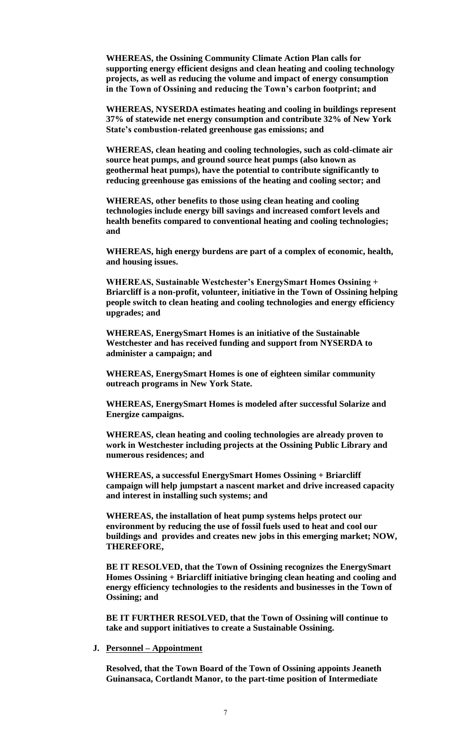**WHEREAS, the Ossining Community Climate Action Plan calls for supporting energy efficient designs and clean heating and cooling technology projects, as well as reducing the volume and impact of energy consumption in the Town of Ossining and reducing the Town's carbon footprint; and**

**WHEREAS, NYSERDA estimates heating and cooling in buildings represent 37% of statewide net energy consumption and contribute 32% of New York State's combustion-related greenhouse gas emissions; and**

**WHEREAS, clean heating and cooling technologies, such as cold-climate air source heat pumps, and ground source heat pumps (also known as geothermal heat pumps), have the potential to contribute significantly to reducing greenhouse gas emissions of the heating and cooling sector; and**

**WHEREAS, other benefits to those using clean heating and cooling technologies include energy bill savings and increased comfort levels and health benefits compared to conventional heating and cooling technologies; and**

**WHEREAS, high energy burdens are part of a complex of economic, health, and housing issues.**

**WHEREAS, Sustainable Westchester's EnergySmart Homes Ossining + Briarcliff is a non-profit, volunteer, initiative in the Town of Ossining helping people switch to clean heating and cooling technologies and energy efficiency upgrades; and** 

**WHEREAS, EnergySmart Homes is an initiative of the Sustainable Westchester and has received funding and support from NYSERDA to administer a campaign; and** 

**WHEREAS, EnergySmart Homes is one of eighteen similar community outreach programs in New York State.**

**WHEREAS, EnergySmart Homes is modeled after successful Solarize and Energize campaigns.**

**WHEREAS, clean heating and cooling technologies are already proven to work in Westchester including projects at the Ossining Public Library and numerous residences; and**

**WHEREAS, a successful EnergySmart Homes Ossining + Briarcliff campaign will help jumpstart a nascent market and drive increased capacity and interest in installing such systems; and**

**WHEREAS, the installation of heat pump systems helps protect our environment by reducing the use of fossil fuels used to heat and cool our buildings and provides and creates new jobs in this emerging market; NOW, THEREFORE,** 

**BE IT RESOLVED, that the Town of Ossining recognizes the EnergySmart Homes Ossining + Briarcliff initiative bringing clean heating and cooling and energy efficiency technologies to the residents and businesses in the Town of Ossining; and**

**BE IT FURTHER RESOLVED, that the Town of Ossining will continue to take and support initiatives to create a Sustainable Ossining.** 

**J. Personnel – Appointment**

**Resolved, that the Town Board of the Town of Ossining appoints Jeaneth Guinansaca, Cortlandt Manor, to the part-time position of Intermediate**